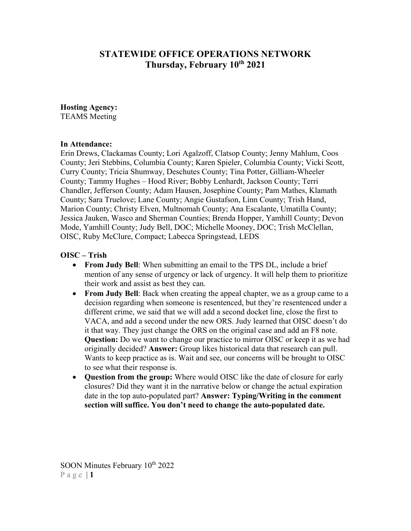# **STATEWIDE OFFICE OPERATIONS NETWORK Thursday, February 10th 2021**

#### **Hosting Agency:**

TEAMS Meeting

#### **In Attendance:**

Erin Drews, Clackamas County; Lori Agalzoff, Clatsop County; Jenny Mahlum, Coos County; Jeri Stebbins, Columbia County; Karen Spieler, Columbia County; Vicki Scott, Curry County; Tricia Shumway, Deschutes County; Tina Potter, Gilliam-Wheeler County; Tammy Hughes – Hood River; Bobby Lenhardt, Jackson County; Terri Chandler, Jefferson County; Adam Hausen, Josephine County; Pam Mathes, Klamath County; Sara Truelove; Lane County; Angie Gustafson, Linn County; Trish Hand, Marion County; Christy Elven, Multnomah County; Ana Escalante, Umatilla County; Jessica Jauken, Wasco and Sherman Counties; Brenda Hopper, Yamhill County; Devon Mode, Yamhill County; Judy Bell, DOC; Michelle Mooney, DOC; Trish McClellan, OISC, Ruby McClure, Compact; Labecca Springstead, LEDS

#### **OISC – Trish**

- **From Judy Bell**: When submitting an email to the TPS DL, include a brief mention of any sense of urgency or lack of urgency. It will help them to prioritize their work and assist as best they can.
- **From Judy Bell**: Back when creating the appeal chapter, we as a group came to a decision regarding when someone is resentenced, but they're resentenced under a different crime, we said that we will add a second docket line, close the first to VACA, and add a second under the new ORS. Judy learned that OISC doesn't do it that way. They just change the ORS on the original case and add an F8 note. **Question:** Do we want to change our practice to mirror OISC or keep it as we had originally decided? **Answer:** Group likes historical data that research can pull. Wants to keep practice as is. Wait and see, our concerns will be brought to OISC to see what their response is.
- **Question from the group:** Where would OISC like the date of closure for early closures? Did they want it in the narrative below or change the actual expiration date in the top auto-populated part? **Answer: Typing/Writing in the comment section will suffice. You don't need to change the auto-populated date.**

SOON Minutes February  $10^{th}$  2022 Page  $|1$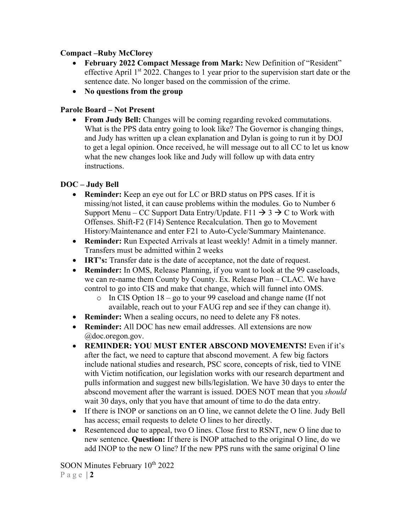## **Compact –Ruby McClorey**

- **February 2022 Compact Message from Mark:** New Definition of "Resident" effective April  $1<sup>st</sup> 2022$ . Changes to 1 year prior to the supervision start date or the sentence date. No longer based on the commission of the crime.
- **No questions from the group**

# **Parole Board – Not Present**

• **From Judy Bell:** Changes will be coming regarding revoked commutations. What is the PPS data entry going to look like? The Governor is changing things, and Judy has written up a clean explanation and Dylan is going to run it by DOJ to get a legal opinion. Once received, he will message out to all CC to let us know what the new changes look like and Judy will follow up with data entry instructions.

## **DOC – Judy Bell**

- **Reminder:** Keep an eye out for LC or BRD status on PPS cases. If it is missing/not listed, it can cause problems within the modules. Go to Number 6 Support Menu – CC Support Data Entry/Update. F11  $\rightarrow$  3  $\rightarrow$  C to Work with Offenses. Shift-F2 (F14) Sentence Recalculation. Then go to Movement History/Maintenance and enter F21 to Auto-Cycle/Summary Maintenance.
- **Reminder:** Run Expected Arrivals at least weekly! Admit in a timely manner. Transfers must be admitted within 2 weeks
- **IRT's:** Transfer date is the date of acceptance, not the date of request.
- **Reminder:** In OMS, Release Planning, if you want to look at the 99 caseloads, we can re-name them County by County. Ex. Release Plan – CLAC. We have control to go into CIS and make that change, which will funnel into OMS.
	- o In CIS Option 18 go to your 99 caseload and change name (If not available, reach out to your FAUG rep and see if they can change it).
- **Reminder:** When a sealing occurs, no need to delete any F8 notes.
- **Reminder:** All DOC has new email addresses. All extensions are now @doc.oregon.gov.
- **REMINDER: YOU MUST ENTER ABSCOND MOVEMENTS!** Even if it's after the fact, we need to capture that abscond movement. A few big factors include national studies and research, PSC score, concepts of risk, tied to VINE with Victim notification, our legislation works with our research department and pulls information and suggest new bills/legislation. We have 30 days to enter the abscond movement after the warrant is issued. DOES NOT mean that you *should* wait 30 days, only that you have that amount of time to do the data entry.
- If there is INOP or sanctions on an O line, we cannot delete the O line. Judy Bell has access; email requests to delete O lines to her directly.
- Resentenced due to appeal, two O lines. Close first to RSNT, new O line due to new sentence. **Question:** If there is INOP attached to the original O line, do we add INOP to the new O line? If the new PPS runs with the same original O line

SOON Minutes February  $10^{th}$  2022 Page | **2**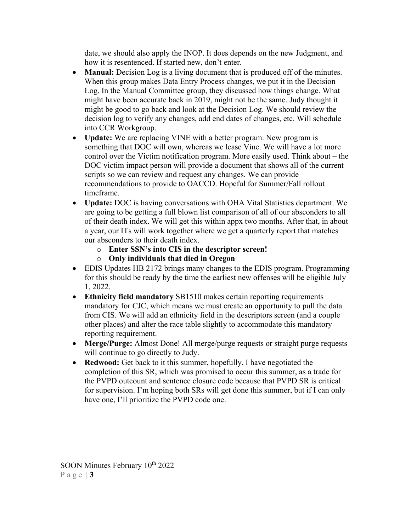date, we should also apply the INOP. It does depends on the new Judgment, and how it is resentenced. If started new, don't enter.

- **Manual:** Decision Log is a living document that is produced off of the minutes. When this group makes Data Entry Process changes, we put it in the Decision Log. In the Manual Committee group, they discussed how things change. What might have been accurate back in 2019, might not be the same. Judy thought it might be good to go back and look at the Decision Log. We should review the decision log to verify any changes, add end dates of changes, etc. Will schedule into CCR Workgroup.
- **Update:** We are replacing VINE with a better program. New program is something that DOC will own, whereas we lease Vine. We will have a lot more control over the Victim notification program. More easily used. Think about – the DOC victim impact person will provide a document that shows all of the current scripts so we can review and request any changes. We can provide recommendations to provide to OACCD. Hopeful for Summer/Fall rollout timeframe.
- **Update:** DOC is having conversations with OHA Vital Statistics department. We are going to be getting a full blown list comparison of all of our absconders to all of their death index. We will get this within appx two months. After that, in about a year, our ITs will work together where we get a quarterly report that matches our absconders to their death index.
	- o **Enter SSN's into CIS in the descriptor screen!**
	- o **Only individuals that died in Oregon**
- EDIS Updates HB 2172 brings many changes to the EDIS program. Programming for this should be ready by the time the earliest new offenses will be eligible July 1, 2022.
- **Ethnicity field mandatory SB1510** makes certain reporting requirements mandatory for CJC, which means we must create an opportunity to pull the data from CIS. We will add an ethnicity field in the descriptors screen (and a couple other places) and alter the race table slightly to accommodate this mandatory reporting requirement.
- **Merge/Purge:** Almost Done! All merge/purge requests or straight purge requests will continue to go directly to Judy.
- **Redwood:** Get back to it this summer, hopefully. I have negotiated the completion of this SR, which was promised to occur this summer, as a trade for the PVPD outcount and sentence closure code because that PVPD SR is critical for supervision. I'm hoping both SRs will get done this summer, but if I can only have one, I'll prioritize the PVPD code one.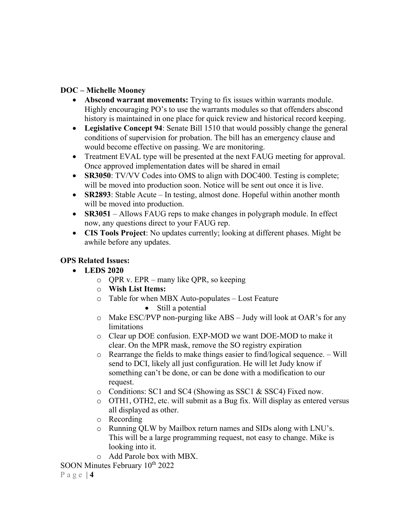## **DOC – Michelle Mooney**

- **Abscond warrant movements:** Trying to fix issues within warrants module. Highly encouraging PO's to use the warrants modules so that offenders abscond history is maintained in one place for quick review and historical record keeping.
- **Legislative Concept 94**: Senate Bill 1510 that would possibly change the general conditions of supervision for probation. The bill has an emergency clause and would become effective on passing. We are monitoring.
- Treatment EVAL type will be presented at the next FAUG meeting for approval. Once approved implementation dates will be shared in email
- **SR3050**: TV/VV Codes into OMS to align with DOC400. Testing is complete; will be moved into production soon. Notice will be sent out once it is live.
- **SR2893**: Stable Acute In testing, almost done. Hopeful within another month will be moved into production.
- **SR3051** Allows FAUG reps to make changes in polygraph module. In effect now, any questions direct to your FAUG rep.
- **CIS Tools Project**: No updates currently; looking at different phases. Might be awhile before any updates.

#### **OPS Related Issues:**

- **LEDS 2020**
	- o QPR v. EPR many like QPR, so keeping
	- o **Wish List Items:**
	- o Table for when MBX Auto-populates Lost Feature • Still a potential
	- o Make ESC/PVP non-purging like ABS Judy will look at OAR's for any limitations
	- o Clear up DOE confusion. EXP-MOD we want DOE-MOD to make it clear. On the MPR mask, remove the SO registry expiration
	- o Rearrange the fields to make things easier to find/logical sequence. Will send to DCI, likely all just configuration. He will let Judy know if something can't be done, or can be done with a modification to our request.
	- o Conditions: SC1 and SC4 (Showing as SSC1 & SSC4) Fixed now.
	- o OTH1, OTH2, etc. will submit as a Bug fix. Will display as entered versus all displayed as other.
	- o Recording
	- o Running QLW by Mailbox return names and SIDs along with LNU's. This will be a large programming request, not easy to change. Mike is looking into it.
	- o Add Parole box with MBX.

SOON Minutes February  $10^{th}$  2022

Page  $|4$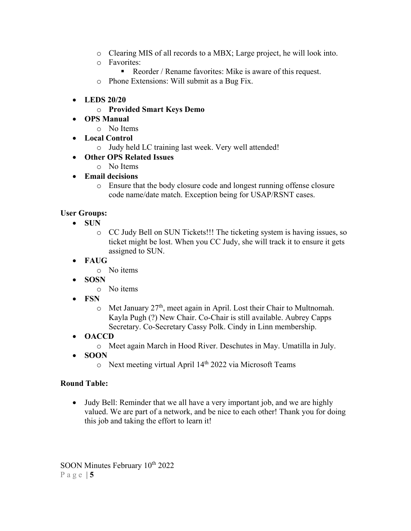- o Clearing MIS of all records to a MBX; Large project, he will look into.
- o Favorites:
	- Reorder / Rename favorites: Mike is aware of this request.
- o Phone Extensions: Will submit as a Bug Fix.
- **LEDS 20/20**
	- o **Provided Smart Keys Demo**
- **OPS Manual**
	- o No Items
- **Local Control**
	- o Judy held LC training last week. Very well attended!
- **Other OPS Related Issues**
	- o No Items
- **Email decisions**
	- o Ensure that the body closure code and longest running offense closure code name/date match. Exception being for USAP/RSNT cases.

## **User Groups:**

- **SUN** 
	- o CC Judy Bell on SUN Tickets!!! The ticketing system is having issues, so ticket might be lost. When you CC Judy, she will track it to ensure it gets assigned to SUN.
- **FAUG**
	- o No items
- **SOSN**
	- o No items
- **FSN**
	- $\circ$  Met January 27<sup>th</sup>, meet again in April. Lost their Chair to Multnomah. Kayla Pugh (?) New Chair. Co-Chair is still available. Aubrey Capps Secretary. Co-Secretary Cassy Polk. Cindy in Linn membership.
- **OACCD**
	- o Meet again March in Hood River. Deschutes in May. Umatilla in July.
- **SOON**
	- o Next meeting virtual April 14<sup>th</sup> 2022 via Microsoft Teams

#### **Round Table:**

• Judy Bell: Reminder that we all have a very important job, and we are highly valued. We are part of a network, and be nice to each other! Thank you for doing this job and taking the effort to learn it!

SOON Minutes February  $10^{th}$  2022 Page  $|5$